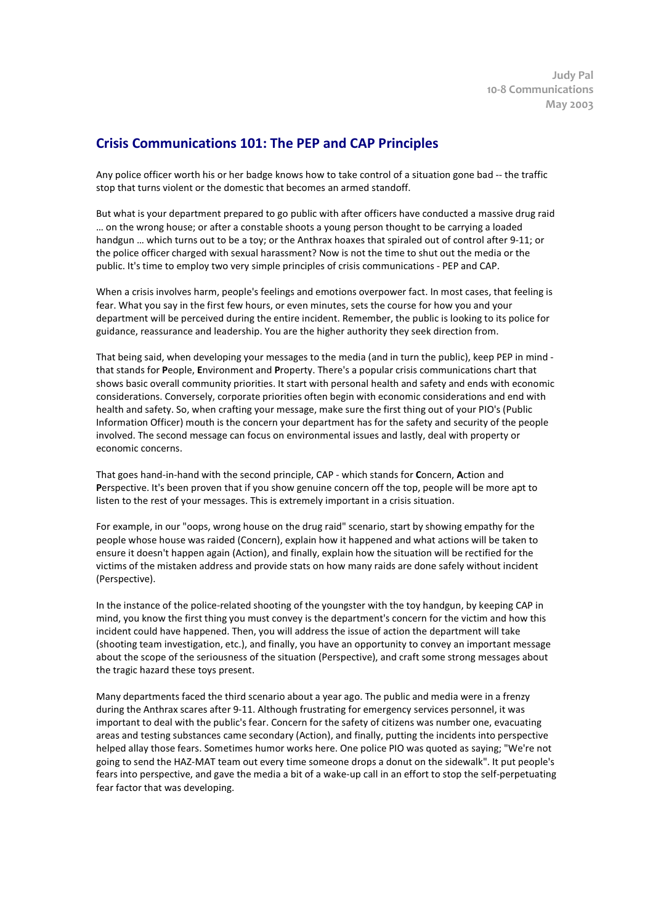## **Crisis Communications 101: The PEP and CAP Principles**

Any police officer worth his or her badge knows how to take control of a situation gone bad -- the traffic stop that turns violent or the domestic that becomes an armed standoff.

But what is your department prepared to go public with after officers have conducted a massive drug raid … on the wrong house; or after a constable shoots a young person thought to be carrying a loaded handgun … which turns out to be a toy; or the Anthrax hoaxes that spiraled out of control after 9-11; or the police officer charged with sexual harassment? Now is not the time to shut out the media or the public. It's time to employ two very simple principles of crisis communications - PEP and CAP.

When a crisis involves harm, people's feelings and emotions overpower fact. In most cases, that feeling is fear. What you say in the first few hours, or even minutes, sets the course for how you and your department will be perceived during the entire incident. Remember, the public is looking to its police for guidance, reassurance and leadership. You are the higher authority they seek direction from.

That being said, when developing your messages to the media (and in turn the public), keep PEP in mind that stands for **P**eople, **E**nvironment and **P**roperty. There's a popular crisis communications chart that shows basic overall community priorities. It start with personal health and safety and ends with economic considerations. Conversely, corporate priorities often begin with economic considerations and end with health and safety. So, when crafting your message, make sure the first thing out of your PIO's (Public Information Officer) mouth is the concern your department has for the safety and security of the people involved. The second message can focus on environmental issues and lastly, deal with property or economic concerns.

That goes hand-in-hand with the second principle, CAP - which stands for **C**oncern, **A**ction and **P**erspective. It's been proven that if you show genuine concern off the top, people will be more apt to listen to the rest of your messages. This is extremely important in a crisis situation.

For example, in our "oops, wrong house on the drug raid" scenario, start by showing empathy for the people whose house was raided (Concern), explain how it happened and what actions will be taken to ensure it doesn't happen again (Action), and finally, explain how the situation will be rectified for the victims of the mistaken address and provide stats on how many raids are done safely without incident (Perspective).

In the instance of the police-related shooting of the youngster with the toy handgun, by keeping CAP in mind, you know the first thing you must convey is the department's concern for the victim and how this incident could have happened. Then, you will address the issue of action the department will take (shooting team investigation, etc.), and finally, you have an opportunity to convey an important message about the scope of the seriousness of the situation (Perspective), and craft some strong messages about the tragic hazard these toys present.

Many departments faced the third scenario about a year ago. The public and media were in a frenzy during the Anthrax scares after 9-11. Although frustrating for emergency services personnel, it was important to deal with the public's fear. Concern for the safety of citizens was number one, evacuating areas and testing substances came secondary (Action), and finally, putting the incidents into perspective helped allay those fears. Sometimes humor works here. One police PIO was quoted as saying; "We're not going to send the HAZ-MAT team out every time someone drops a donut on the sidewalk". It put people's fears into perspective, and gave the media a bit of a wake-up call in an effort to stop the self-perpetuating fear factor that was developing.